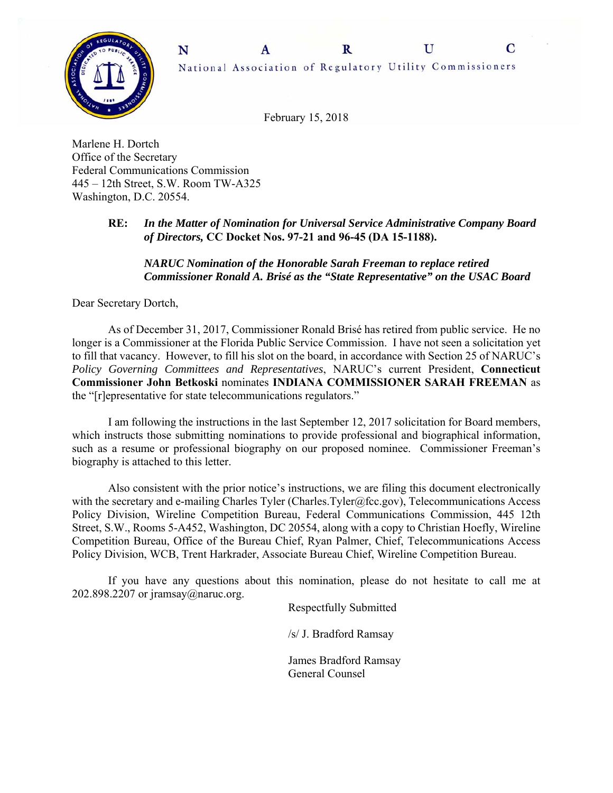

February 15, 2018

Marlene H. Dortch Office of the Secretary Federal Communications Commission 445 – 12th Street, S.W. Room TW-A325 Washington, D.C. 20554.

## **RE:** *In the Matter of Nomination for Universal Service Administrative Company Board of Directors,* **CC Docket Nos. 97-21 and 96-45 (DA 15-1188).**

## *NARUC Nomination of the Honorable Sarah Freeman to replace retired Commissioner Ronald A. Brisé as the "State Representative" on the USAC Board*

Dear Secretary Dortch,

 As of December 31, 2017, Commissioner Ronald Brisé has retired from public service. He no longer is a Commissioner at the Florida Public Service Commission. I have not seen a solicitation yet to fill that vacancy. However, to fill his slot on the board, in accordance with Section 25 of NARUC's *Policy Governing Committees and Representatives*, NARUC's current President, **Connecticut Commissioner John Betkoski** nominates **INDIANA COMMISSIONER SARAH FREEMAN** as the "[r]epresentative for state telecommunications regulators."

I am following the instructions in the last September 12, 2017 solicitation for Board members, which instructs those submitting nominations to provide professional and biographical information, such as a resume or professional biography on our proposed nominee. Commissioner Freeman's biography is attached to this letter.

Also consistent with the prior notice's instructions, we are filing this document electronically with the secretary and e-mailing Charles Tyler (Charles.Tyler@fcc.gov), Telecommunications Access Policy Division, Wireline Competition Bureau, Federal Communications Commission, 445 12th Street, S.W., Rooms 5-A452, Washington, DC 20554, along with a copy to Christian Hoefly, Wireline Competition Bureau, Office of the Bureau Chief, Ryan Palmer, Chief, Telecommunications Access Policy Division, WCB, Trent Harkrader, Associate Bureau Chief, Wireline Competition Bureau.

 If you have any questions about this nomination, please do not hesitate to call me at 202.898.2207 or jramsay@naruc.org.

Respectfully Submitted

/s/ J. Bradford Ramsay

 James Bradford Ramsay General Counsel